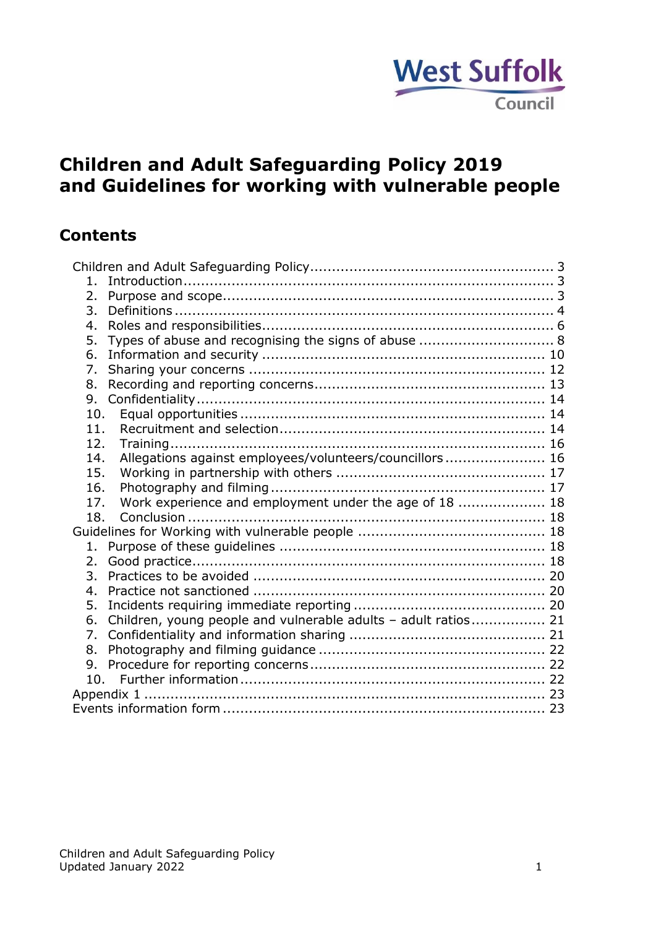

# **Children and Adult Safeguarding Policy 2019 and Guidelines for working with vulnerable people**

# **Contents**

| $1_{-}$                                                              |  |
|----------------------------------------------------------------------|--|
| 2.                                                                   |  |
| 3.                                                                   |  |
| 4.                                                                   |  |
| Types of abuse and recognising the signs of abuse  8<br>5.           |  |
| 6.                                                                   |  |
| 7.                                                                   |  |
| 8.                                                                   |  |
| 9.                                                                   |  |
| 10.                                                                  |  |
| 11.                                                                  |  |
| 12.                                                                  |  |
| Allegations against employees/volunteers/councillors 16<br>14.       |  |
| 15.                                                                  |  |
| 16.                                                                  |  |
| Work experience and employment under the age of 18  18<br>17.        |  |
| 18.                                                                  |  |
|                                                                      |  |
| $1_{-}$                                                              |  |
| 2.                                                                   |  |
| 3.                                                                   |  |
| 4.                                                                   |  |
| 5.                                                                   |  |
| Children, young people and vulnerable adults - adult ratios 21<br>6. |  |
| 7.                                                                   |  |
| 8.                                                                   |  |
| 9.                                                                   |  |
|                                                                      |  |
|                                                                      |  |
|                                                                      |  |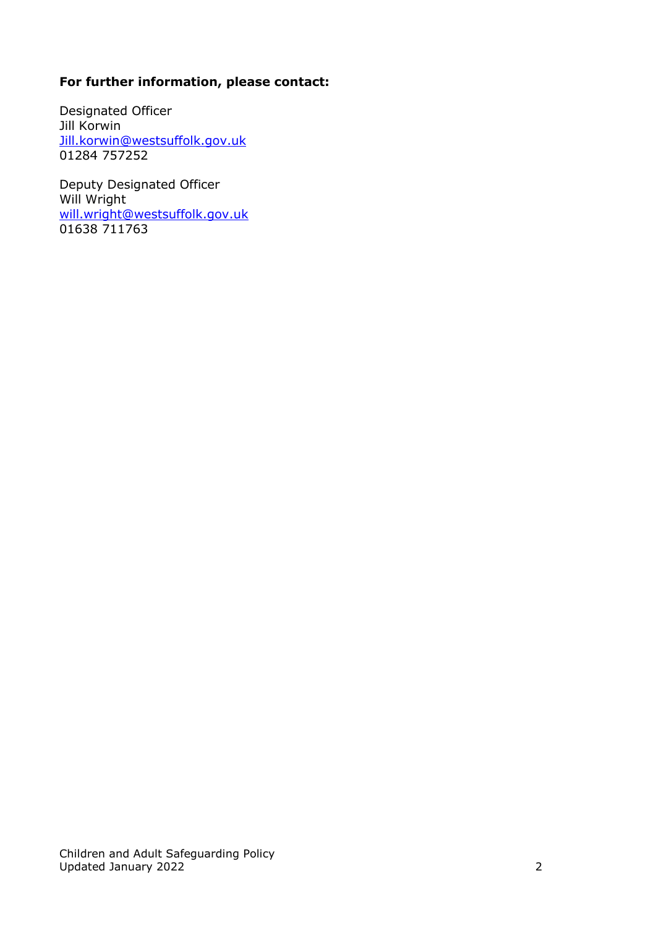#### **For further information, please contact:**

Designated Officer Jill Korwin [Jill.korwin@westsuffolk.gov.uk](mailto:Jill.korwin@westsuffolk.gov.uk) 01284 757252

Deputy Designated Officer Will Wright [will.wright@westsuffolk.gov.uk](mailto:will.wright@westsuffolk.gov.uk) 01638 711763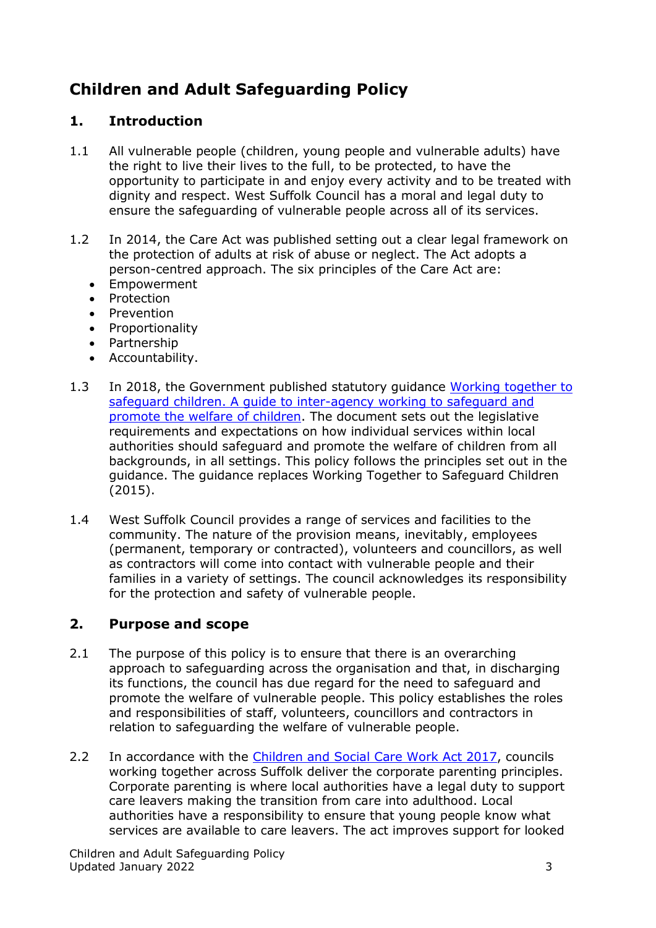# <span id="page-2-0"></span>**Children and Adult Safeguarding Policy**

# <span id="page-2-1"></span>**1. Introduction**

- 1.1 All vulnerable people (children, young people and vulnerable adults) have the right to live their lives to the full, to be protected, to have the opportunity to participate in and enjoy every activity and to be treated with dignity and respect. West Suffolk Council has a moral and legal duty to ensure the safeguarding of vulnerable people across all of its services.
- 1.2 In 2014, the Care Act was published setting out a clear legal framework on the protection of adults at risk of abuse or neglect. The Act adopts a person-centred approach. The six principles of the Care Act are:
	- Empowerment
	- Protection
	- Prevention
	- Proportionality
	- Partnership
	- Accountability.
- 1.3 In 2018, the Government published statutory guidance Working together to [safeguard children. A guide to inter-agency working to safeguard and](https://assets.publishing.service.gov.uk/government/uploads/system/uploads/attachment_data/file/779401/Working_Together_to_Safeguard-Children.pdf)  promote [the welfare of children.](https://assets.publishing.service.gov.uk/government/uploads/system/uploads/attachment_data/file/779401/Working_Together_to_Safeguard-Children.pdf) The document sets out the legislative requirements and expectations on how individual services within local authorities should safeguard and promote the welfare of children from all backgrounds, in all settings. This policy follows the principles set out in the guidance. The guidance replaces Working Together to Safeguard Children (2015).
- 1.4 West Suffolk Council provides a range of services and facilities to the community. The nature of the provision means, inevitably, employees (permanent, temporary or contracted), volunteers and councillors, as well as contractors will come into contact with vulnerable people and their families in a variety of settings. The council acknowledges its responsibility for the protection and safety of vulnerable people.

# <span id="page-2-2"></span>**2. Purpose and scope**

- 2.1 The purpose of this policy is to ensure that there is an overarching approach to safeguarding across the organisation and that, in discharging its functions, the council has due regard for the need to safeguard and promote the welfare of vulnerable people. This policy establishes the roles and responsibilities of staff, volunteers, councillors and contractors in relation to safeguarding the welfare of vulnerable people.
- 2.2 In accordance with the [Children and Social Care Work Act 2017,](http://www.legislation.gov.uk/ukpga/2017/16/contents/enacted) councils working together across Suffolk deliver the corporate parenting principles. Corporate parenting is where local authorities have a legal duty to support care leavers making the transition from care into adulthood. Local authorities have a responsibility to ensure that young people know what services are available to care leavers. The act improves support for looked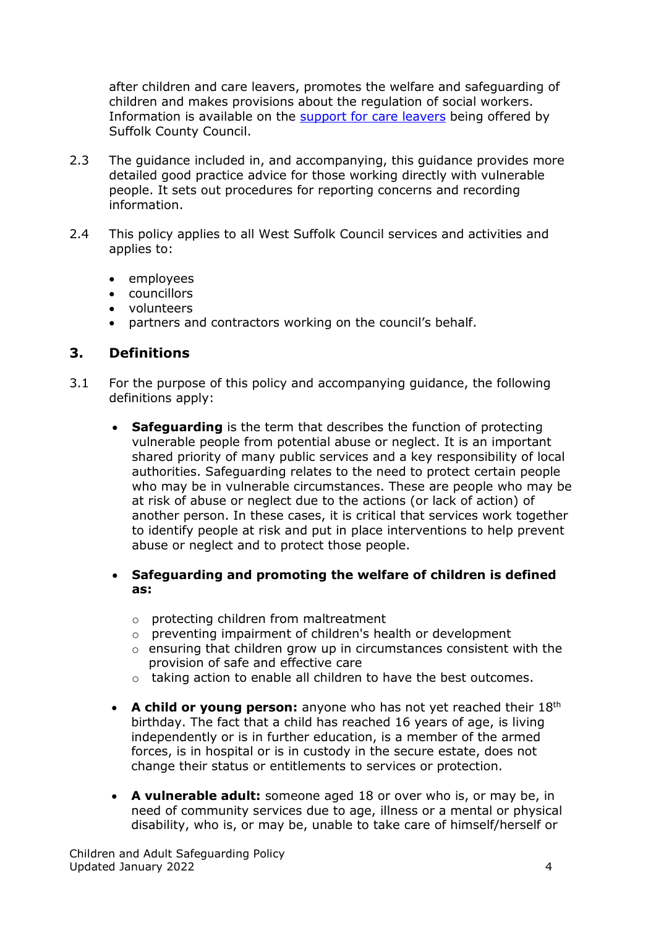after children and care leavers, promotes the welfare and safeguarding of children and makes provisions about the regulation of social workers. Information is available on the [support for care leavers](https://www.suffolk.gov.uk/assets/Children-families-and-learning/children-in-care-and-care-leavers/Suffolk-Leaving-Care-Offer-2018.pdf) being offered by Suffolk County Council.

- 2.3 The guidance included in, and accompanying, this guidance provides more detailed good practice advice for those working directly with vulnerable people. It sets out procedures for reporting concerns and recording information.
- 2.4 This policy applies to all West Suffolk Council services and activities and applies to:
	- employees
	- councillors
	- volunteers
	- partners and contractors working on the council's behalf.

#### <span id="page-3-0"></span>**3. Definitions**

- 3.1 For the purpose of this policy and accompanying guidance, the following definitions apply:
	- **Safeguarding** is the term that describes the function of protecting vulnerable people from potential abuse or neglect. It is an important shared priority of many public services and a key responsibility of local authorities. Safeguarding relates to the need to protect certain people who may be in vulnerable circumstances. These are people who may be at risk of abuse or neglect due to the actions (or lack of action) of another person. In these cases, it is critical that services work together to identify people at risk and put in place interventions to help prevent abuse or neglect and to protect those people.

#### **Safeguarding and promoting the welfare of children is defined as:**

- o protecting children from maltreatment
- o preventing impairment of children's health or development
- o ensuring that children grow up in circumstances consistent with the provision of safe and effective care
- $\circ$  taking action to enable all children to have the best outcomes.
- **A child or young person:** anyone who has not yet reached their 18<sup>th</sup> birthday. The fact that a child has reached 16 years of age, is living independently or is in further education, is a member of the armed forces, is in hospital or is in custody in the secure estate, does not change their status or entitlements to services or protection.
- **A vulnerable adult:** someone aged 18 or over who is, or may be, in need of community services due to age, illness or a mental or physical disability, who is, or may be, unable to take care of himself/herself or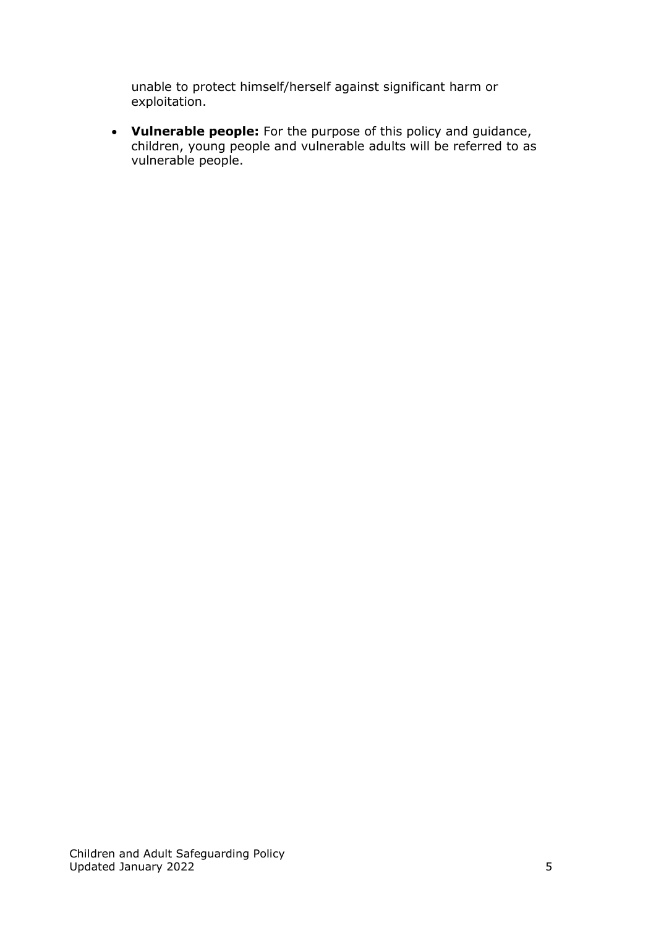unable to protect himself/herself against significant harm or exploitation.

<span id="page-4-0"></span> **Vulnerable people:** For the purpose of this policy and guidance, children, young people and vulnerable adults will be referred to as vulnerable people.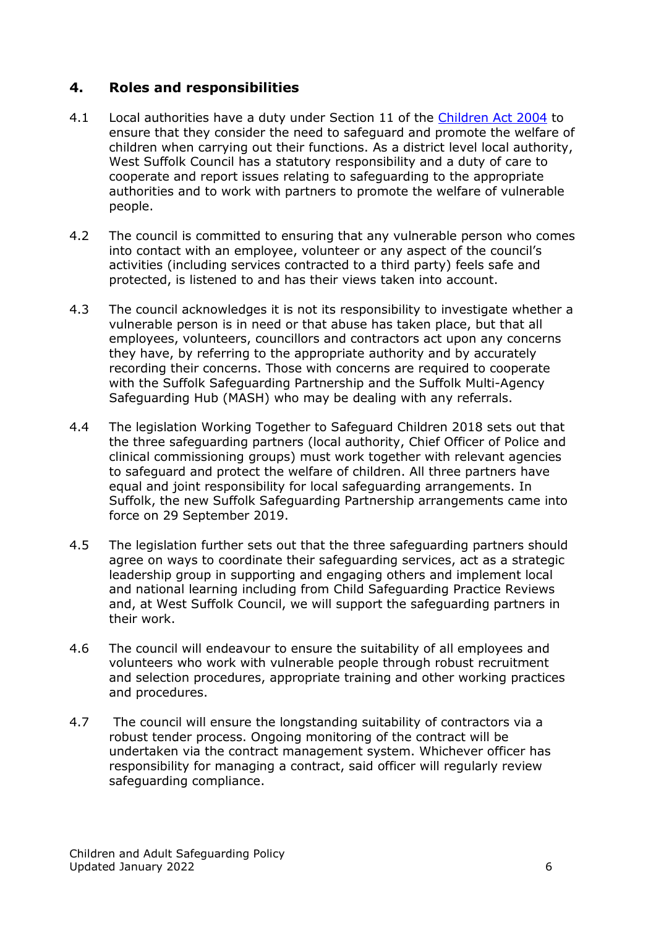# **4. Roles and responsibilities**

- 4.1 Local authorities have a duty under Section 11 of the [Children Act 2004](http://www.legislation.gov.uk/ukpga/2004/31/introduction) to ensure that they consider the need to safeguard and promote the welfare of children when carrying out their functions. As a district level local authority, West Suffolk Council has a statutory responsibility and a duty of care to cooperate and report issues relating to safeguarding to the appropriate authorities and to work with partners to promote the welfare of vulnerable people.
- 4.2 The council is committed to ensuring that any vulnerable person who comes into contact with an employee, volunteer or any aspect of the council's activities (including services contracted to a third party) feels safe and protected, is listened to and has their views taken into account.
- 4.3 The council acknowledges it is not its responsibility to investigate whether a vulnerable person is in need or that abuse has taken place, but that all employees, volunteers, councillors and contractors act upon any concerns they have, by referring to the appropriate authority and by accurately recording their concerns. Those with concerns are required to cooperate with the Suffolk Safeguarding Partnership and the Suffolk Multi-Agency Safeguarding Hub (MASH) who may be dealing with any referrals.
- 4.4 The legislation Working Together to Safeguard Children 2018 sets out that the three safeguarding partners (local authority, Chief Officer of Police and clinical commissioning groups) must work together with relevant agencies to safeguard and protect the welfare of children. All three partners have equal and joint responsibility for local safeguarding arrangements. In Suffolk, the new Suffolk Safeguarding Partnership arrangements came into force on 29 September 2019.
- 4.5 The legislation further sets out that the three safeguarding partners should agree on ways to coordinate their safeguarding services, act as a strategic leadership group in supporting and engaging others and implement local and national learning including from Child Safeguarding Practice Reviews and, at West Suffolk Council, we will support the safeguarding partners in their work.
- 4.6 The council will endeavour to ensure the suitability of all employees and volunteers who work with vulnerable people through robust recruitment and selection procedures, appropriate training and other working practices and procedures.
- 4.7 The council will ensure the longstanding suitability of contractors via a robust tender process. Ongoing monitoring of the contract will be undertaken via the contract management system. Whichever officer has responsibility for managing a contract, said officer will regularly review safeguarding compliance.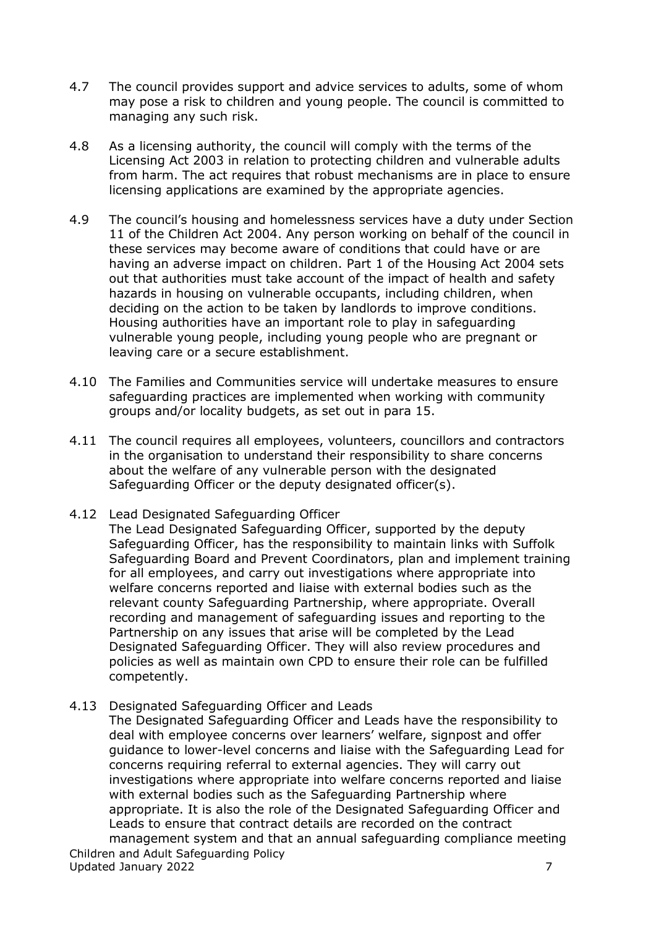- 4.7 The council provides support and advice services to adults, some of whom may pose a risk to children and young people. The council is committed to managing any such risk.
- 4.8 As a licensing authority, the council will comply with the terms of the Licensing Act 2003 in relation to protecting children and vulnerable adults from harm. The act requires that robust mechanisms are in place to ensure licensing applications are examined by the appropriate agencies.
- 4.9 The council's housing and homelessness services have a duty under Section 11 of the Children Act 2004. Any person working on behalf of the council in these services may become aware of conditions that could have or are having an adverse impact on children. Part 1 of the Housing Act 2004 sets out that authorities must take account of the impact of health and safety hazards in housing on vulnerable occupants, including children, when deciding on the action to be taken by landlords to improve conditions. Housing authorities have an important role to play in safeguarding vulnerable young people, including young people who are pregnant or leaving care or a secure establishment.
- 4.10 The Families and Communities service will undertake measures to ensure safeguarding practices are implemented when working with community groups and/or locality budgets, as set out in para 15.
- 4.11 The council requires all employees, volunteers, councillors and contractors in the organisation to understand their responsibility to share concerns about the welfare of any vulnerable person with the designated Safeguarding Officer or the deputy designated officer(s).
- 4.12 Lead Designated Safeguarding Officer

The Lead Designated Safeguarding Officer, supported by the deputy Safeguarding Officer, has the responsibility to maintain links with Suffolk Safeguarding Board and Prevent Coordinators, plan and implement training for all employees, and carry out investigations where appropriate into welfare concerns reported and liaise with external bodies such as the relevant county Safeguarding Partnership, where appropriate. Overall recording and management of safeguarding issues and reporting to the Partnership on any issues that arise will be completed by the Lead Designated Safeguarding Officer. They will also review procedures and policies as well as maintain own CPD to ensure their role can be fulfilled competently.

4.13 Designated Safeguarding Officer and Leads

The Designated Safeguarding Officer and Leads have the responsibility to deal with employee concerns over learners' welfare, signpost and offer guidance to lower-level concerns and liaise with the Safeguarding Lead for concerns requiring referral to external agencies. They will carry out investigations where appropriate into welfare concerns reported and liaise with external bodies such as the Safeguarding Partnership where appropriate. It is also the role of the Designated Safeguarding Officer and Leads to ensure that contract details are recorded on the contract management system and that an annual safeguarding compliance meeting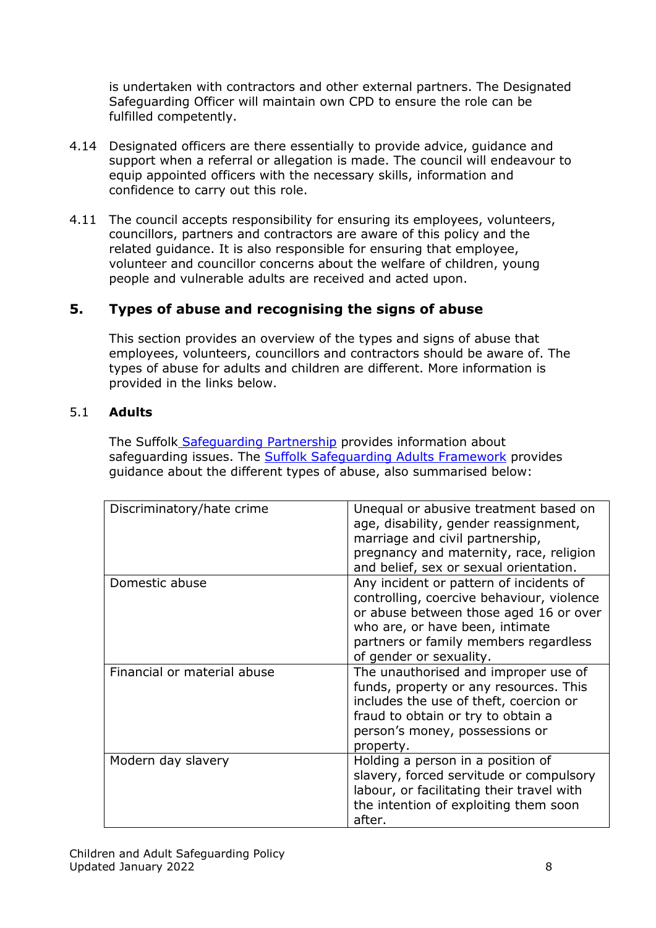is undertaken with contractors and other external partners. The Designated Safeguarding Officer will maintain own CPD to ensure the role can be fulfilled competently.

- 4.14 Designated officers are there essentially to provide advice, guidance and support when a referral or allegation is made. The council will endeavour to equip appointed officers with the necessary skills, information and confidence to carry out this role.
- 4.11 The council accepts responsibility for ensuring its employees, volunteers, councillors, partners and contractors are aware of this policy and the related guidance. It is also responsible for ensuring that employee, volunteer and councillor concerns about the welfare of children, young people and vulnerable adults are received and acted upon.

# <span id="page-7-0"></span>**5. Types of abuse and recognising the signs of abuse**

This section provides an overview of the types and signs of abuse that employees, volunteers, councillors and contractors should be aware of. The types of abuse for adults and children are different. More information is provided in the links below.

#### 5.1 **Adults**

The Suffolk Safeguarding Partnership provides information about safeguarding issues. The [Suffolk Safeguarding Adults Framework](https://www.suffolkas.org/assets/Working-with-Adults/Policies-and-Procedures/Safeguarding-Adults-Framework/2019-07-23-Safeguarding-Adults-Framework-V.8.pdf) provides guidance about the different types of abuse, also summarised below:

| Discriminatory/hate crime   | Unequal or abusive treatment based on<br>age, disability, gender reassignment,<br>marriage and civil partnership,<br>pregnancy and maternity, race, religion<br>and belief, sex or sexual orientation.                                |
|-----------------------------|---------------------------------------------------------------------------------------------------------------------------------------------------------------------------------------------------------------------------------------|
| Domestic abuse              | Any incident or pattern of incidents of<br>controlling, coercive behaviour, violence<br>or abuse between those aged 16 or over<br>who are, or have been, intimate<br>partners or family members regardless<br>of gender or sexuality. |
| Financial or material abuse | The unauthorised and improper use of<br>funds, property or any resources. This<br>includes the use of theft, coercion or<br>fraud to obtain or try to obtain a<br>person's money, possessions or<br>property.                         |
| Modern day slavery          | Holding a person in a position of<br>slavery, forced servitude or compulsory<br>labour, or facilitating their travel with<br>the intention of exploiting them soon<br>after.                                                          |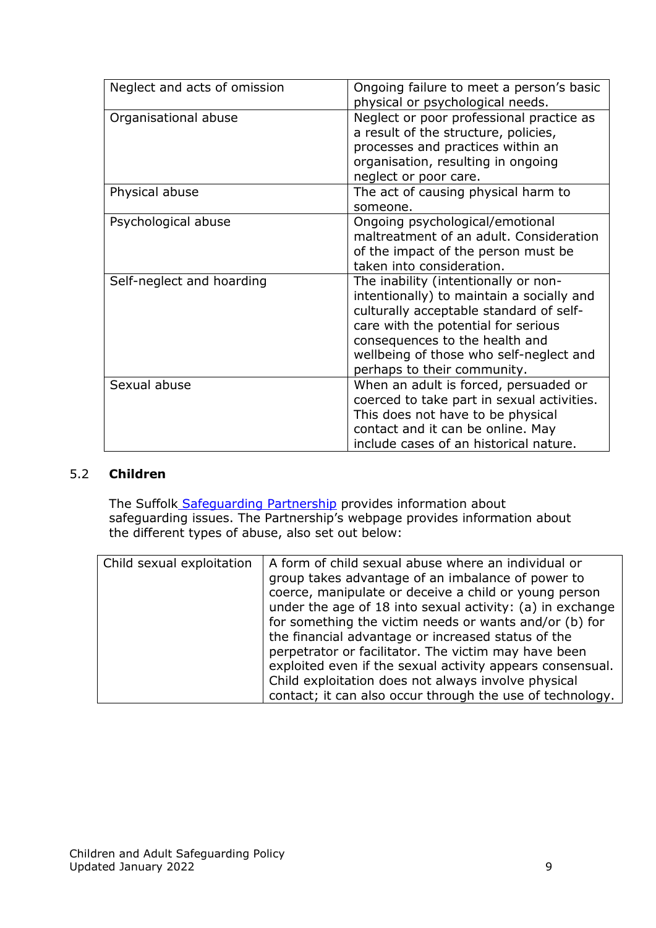| Neglect and acts of omission | Ongoing failure to meet a person's basic   |
|------------------------------|--------------------------------------------|
|                              | physical or psychological needs.           |
| Organisational abuse         | Neglect or poor professional practice as   |
|                              | a result of the structure, policies,       |
|                              | processes and practices within an          |
|                              | organisation, resulting in ongoing         |
|                              | neglect or poor care.                      |
| Physical abuse               | The act of causing physical harm to        |
|                              | someone.                                   |
| Psychological abuse          | Ongoing psychological/emotional            |
|                              | maltreatment of an adult. Consideration    |
|                              | of the impact of the person must be        |
|                              | taken into consideration.                  |
| Self-neglect and hoarding    | The inability (intentionally or non-       |
|                              | intentionally) to maintain a socially and  |
|                              | culturally acceptable standard of self-    |
|                              | care with the potential for serious        |
|                              | consequences to the health and             |
|                              | wellbeing of those who self-neglect and    |
|                              | perhaps to their community.                |
| Sexual abuse                 | When an adult is forced, persuaded or      |
|                              | coerced to take part in sexual activities. |
|                              | This does not have to be physical          |
|                              | contact and it can be online. May          |
|                              | include cases of an historical nature.     |

#### 5.2 **Children**

The Suffolk Safeguarding Partnership provides information about safeguarding issues. The Partnership's webpage provides information about the different types of abuse, also set out below:

| A form of child sexual abuse where an individual or<br>Child sexual exploitation<br>group takes advantage of an imbalance of power to<br>coerce, manipulate or deceive a child or young person<br>under the age of 18 into sexual activity: (a) in exchange<br>for something the victim needs or wants and/or (b) for<br>the financial advantage or increased status of the<br>perpetrator or facilitator. The victim may have been<br>exploited even if the sexual activity appears consensual.<br>Child exploitation does not always involve physical<br>contact; it can also occur through the use of technology. |  |
|----------------------------------------------------------------------------------------------------------------------------------------------------------------------------------------------------------------------------------------------------------------------------------------------------------------------------------------------------------------------------------------------------------------------------------------------------------------------------------------------------------------------------------------------------------------------------------------------------------------------|--|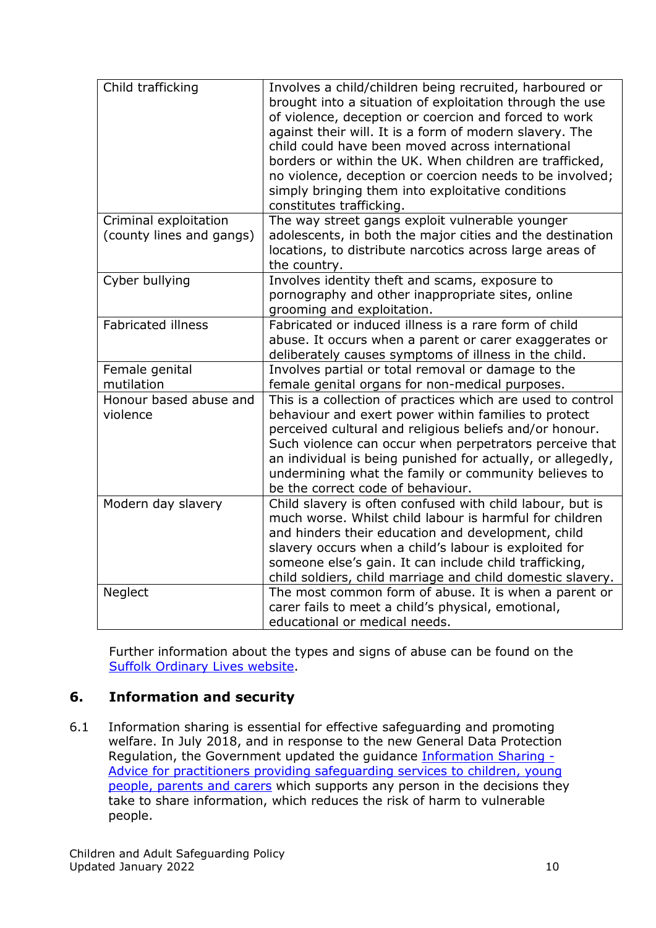| Child trafficking                                 | Involves a child/children being recruited, harboured or<br>brought into a situation of exploitation through the use<br>of violence, deception or coercion and forced to work<br>against their will. It is a form of modern slavery. The<br>child could have been moved across international<br>borders or within the UK. When children are trafficked,<br>no violence, deception or coercion needs to be involved;<br>simply bringing them into exploitative conditions<br>constitutes trafficking. |
|---------------------------------------------------|-----------------------------------------------------------------------------------------------------------------------------------------------------------------------------------------------------------------------------------------------------------------------------------------------------------------------------------------------------------------------------------------------------------------------------------------------------------------------------------------------------|
| Criminal exploitation<br>(county lines and gangs) | The way street gangs exploit vulnerable younger<br>adolescents, in both the major cities and the destination<br>locations, to distribute narcotics across large areas of<br>the country.                                                                                                                                                                                                                                                                                                            |
| Cyber bullying                                    | Involves identity theft and scams, exposure to<br>pornography and other inappropriate sites, online<br>grooming and exploitation.                                                                                                                                                                                                                                                                                                                                                                   |
| <b>Fabricated illness</b>                         | Fabricated or induced illness is a rare form of child<br>abuse. It occurs when a parent or carer exaggerates or<br>deliberately causes symptoms of illness in the child.                                                                                                                                                                                                                                                                                                                            |
| Female genital                                    | Involves partial or total removal or damage to the                                                                                                                                                                                                                                                                                                                                                                                                                                                  |
| mutilation                                        | female genital organs for non-medical purposes.                                                                                                                                                                                                                                                                                                                                                                                                                                                     |
| Honour based abuse and<br>violence                | This is a collection of practices which are used to control<br>behaviour and exert power within families to protect<br>perceived cultural and religious beliefs and/or honour.<br>Such violence can occur when perpetrators perceive that<br>an individual is being punished for actually, or allegedly,<br>undermining what the family or community believes to<br>be the correct code of behaviour.                                                                                               |
| Modern day slavery                                | Child slavery is often confused with child labour, but is<br>much worse. Whilst child labour is harmful for children<br>and hinders their education and development, child<br>slavery occurs when a child's labour is exploited for<br>someone else's gain. It can include child trafficking,<br>child soldiers, child marriage and child domestic slavery.                                                                                                                                         |
| Neglect                                           | The most common form of abuse. It is when a parent or<br>carer fails to meet a child's physical, emotional,<br>educational or medical needs.                                                                                                                                                                                                                                                                                                                                                        |

Further information about the types and signs of abuse can be found on the [Suffolk Ordinary Lives website.](https://suffolkordinarylives.co.uk/wp-content/uploads/2019/02/Safegaurding-Adults-Types-of-Abuse-online-version-30-Nov.pdf)

# <span id="page-9-0"></span>**6. Information and security**

6.1 Information sharing is essential for effective safeguarding and promoting welfare. In July 2018, and in response to the new General Data Protection Regulation, the Government updated the guidance [Information Sharing -](https://assets.publishing.service.gov.uk/government/uploads/system/uploads/attachment_data/file/721581/Information_sharing_advice_practitioners_safeguarding_services.pdf) [Advice for practitioners providing safeguarding services to children, young](https://assets.publishing.service.gov.uk/government/uploads/system/uploads/attachment_data/file/721581/Information_sharing_advice_practitioners_safeguarding_services.pdf)  [people, parents and carers](https://assets.publishing.service.gov.uk/government/uploads/system/uploads/attachment_data/file/721581/Information_sharing_advice_practitioners_safeguarding_services.pdf) which supports any person in the decisions they take to share information, which reduces the risk of harm to vulnerable people.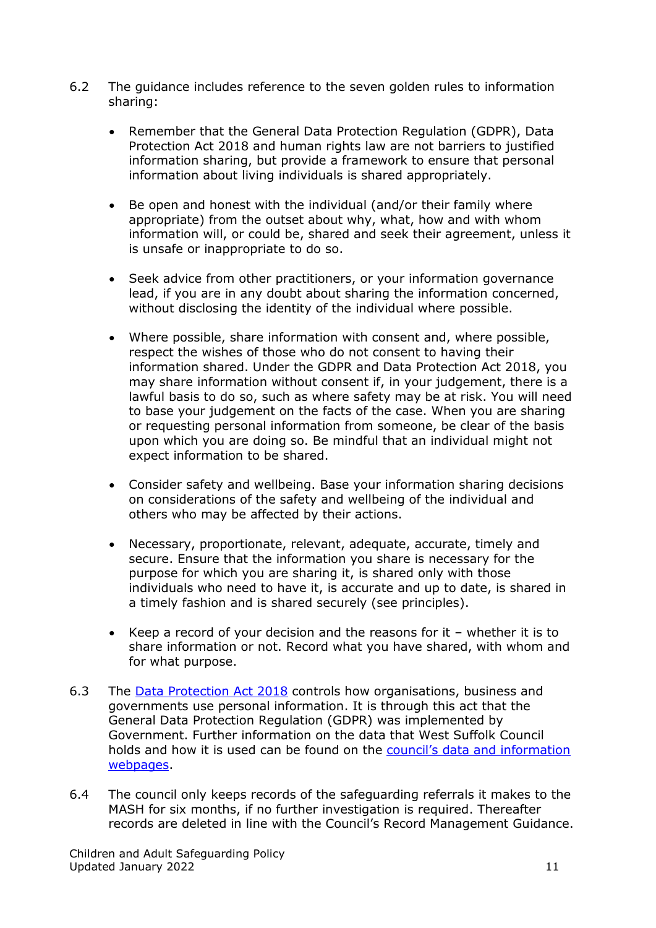- 6.2 The guidance includes reference to the seven golden rules to information sharing:
	- Remember that the General Data Protection Regulation (GDPR), Data Protection Act 2018 and human rights law are not barriers to justified information sharing, but provide a framework to ensure that personal information about living individuals is shared appropriately.
	- Be open and honest with the individual (and/or their family where appropriate) from the outset about why, what, how and with whom information will, or could be, shared and seek their agreement, unless it is unsafe or inappropriate to do so.
	- Seek advice from other practitioners, or your information governance lead, if you are in any doubt about sharing the information concerned, without disclosing the identity of the individual where possible.
	- Where possible, share information with consent and, where possible, respect the wishes of those who do not consent to having their information shared. Under the GDPR and Data Protection Act 2018, you may share information without consent if, in your judgement, there is a lawful basis to do so, such as where safety may be at risk. You will need to base your judgement on the facts of the case. When you are sharing or requesting personal information from someone, be clear of the basis upon which you are doing so. Be mindful that an individual might not expect information to be shared.
	- Consider safety and wellbeing. Base your information sharing decisions on considerations of the safety and wellbeing of the individual and others who may be affected by their actions.
	- Necessary, proportionate, relevant, adequate, accurate, timely and secure. Ensure that the information you share is necessary for the purpose for which you are sharing it, is shared only with those individuals who need to have it, is accurate and up to date, is shared in a timely fashion and is shared securely (see principles).
	- Keep a record of your decision and the reasons for it  $-$  whether it is to share information or not. Record what you have shared, with whom and for what purpose.
- 6.3 The [Data Protection Act 2018](http://www.legislation.gov.uk/ukpga/2018/12/contents/enacted) controls how organisations, business and governments use personal information. It is through this act that the General Data Protection Regulation (GDPR) was implemented by Government. Further information on the data that West Suffolk Council holds and how it is used can be found on the council's [data and information](https://www.westsuffolk.gov.uk/council/data_and_information/index.cfm?aud=council)  [webpages.](https://www.westsuffolk.gov.uk/council/data_and_information/index.cfm?aud=council)
- 6.4 The council only keeps records of the safeguarding referrals it makes to the MASH for six months, if no further investigation is required. Thereafter records are deleted in line with the Council's Record Management Guidance.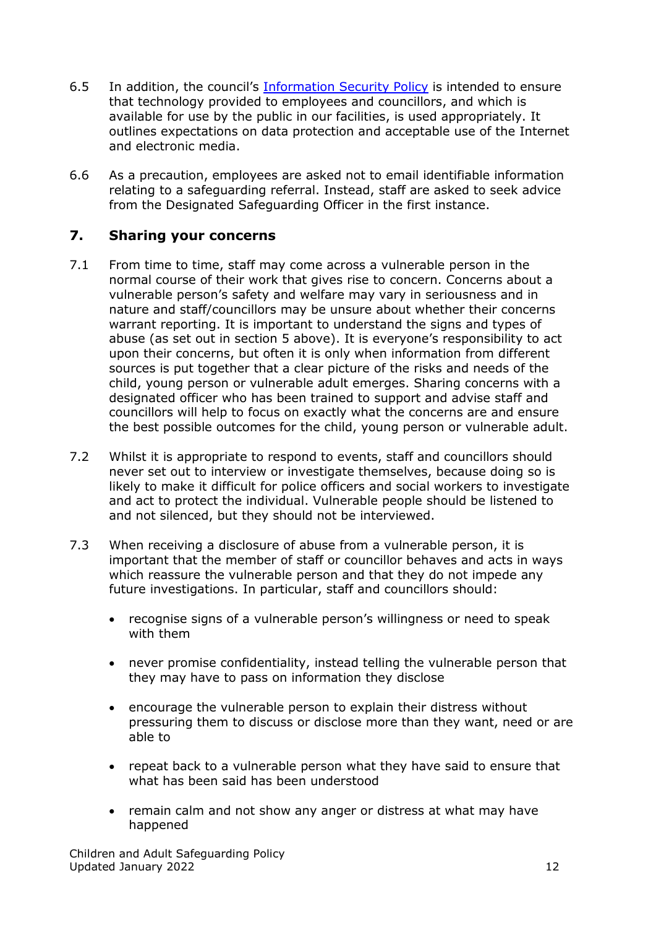- 6.5 In addition, the council's **[Information Security Policy](https://www.westsuffolk.gov.uk/Council/Policies_Strategies_and_Plans/More_plans_and_policies/upload/WSInformationSecurityPolicy.pdf)** is intended to ensure that technology provided to employees and councillors, and which is available for use by the public in our facilities, is used appropriately. It outlines expectations on data protection and acceptable use of the Internet and electronic media.
- 6.6 As a precaution, employees are asked not to email identifiable information relating to a safeguarding referral. Instead, staff are asked to seek advice from the Designated Safeguarding Officer in the first instance.

#### <span id="page-11-0"></span>**7. Sharing your concerns**

- 7.1 From time to time, staff may come across a vulnerable person in the normal course of their work that gives rise to concern. Concerns about a vulnerable person's safety and welfare may vary in seriousness and in nature and staff/councillors may be unsure about whether their concerns warrant reporting. It is important to understand the signs and types of abuse (as set out in section 5 above). It is everyone's responsibility to act upon their concerns, but often it is only when information from different sources is put together that a clear picture of the risks and needs of the child, young person or vulnerable adult emerges. Sharing concerns with a designated officer who has been trained to support and advise staff and councillors will help to focus on exactly what the concerns are and ensure the best possible outcomes for the child, young person or vulnerable adult.
- 7.2 Whilst it is appropriate to respond to events, staff and councillors should never set out to interview or investigate themselves, because doing so is likely to make it difficult for police officers and social workers to investigate and act to protect the individual. Vulnerable people should be listened to and not silenced, but they should not be interviewed.
- 7.3 When receiving a disclosure of abuse from a vulnerable person, it is important that the member of staff or councillor behaves and acts in ways which reassure the vulnerable person and that they do not impede any future investigations. In particular, staff and councillors should:
	- recognise signs of a vulnerable person's willingness or need to speak with them
	- never promise confidentiality, instead telling the vulnerable person that they may have to pass on information they disclose
	- encourage the vulnerable person to explain their distress without pressuring them to discuss or disclose more than they want, need or are able to
	- repeat back to a vulnerable person what they have said to ensure that what has been said has been understood
	- remain calm and not show any anger or distress at what may have happened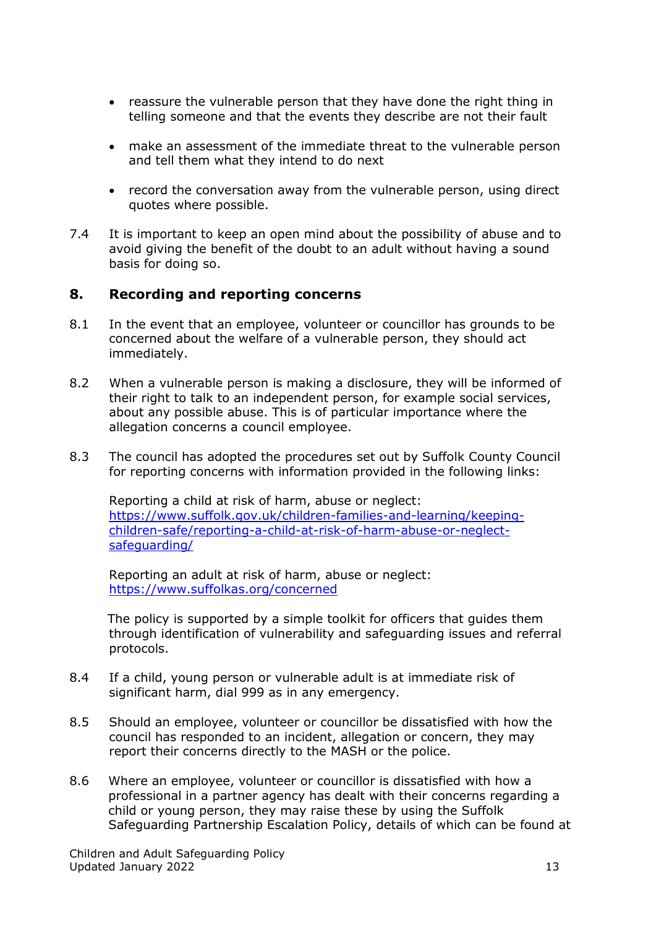- reassure the vulnerable person that they have done the right thing in telling someone and that the events they describe are not their fault
- make an assessment of the immediate threat to the vulnerable person and tell them what they intend to do next
- record the conversation away from the vulnerable person, using direct quotes where possible.
- 7.4 It is important to keep an open mind about the possibility of abuse and to avoid giving the benefit of the doubt to an adult without having a sound basis for doing so.

#### <span id="page-12-0"></span>**8. Recording and reporting concerns**

- 8.1 In the event that an employee, volunteer or councillor has grounds to be concerned about the welfare of a vulnerable person, they should act immediately.
- 8.2 When a vulnerable person is making a disclosure, they will be informed of their right to talk to an independent person, for example social services, about any possible abuse. This is of particular importance where the allegation concerns a council employee.
- 8.3 The council has adopted the procedures set out by Suffolk County Council for reporting concerns with information provided in the following links:

Reporting a child at risk of harm, abuse or neglect: [https://www.suffolk.gov.uk/children-families-and-learning/keeping](https://www.suffolk.gov.uk/children-families-and-learning/keeping-children-safe/reporting-a-child-at-risk-of-harm-abuse-or-neglect-safeguarding/)[children-safe/reporting-a-child-at-risk-of-harm-abuse-or-neglect](https://www.suffolk.gov.uk/children-families-and-learning/keeping-children-safe/reporting-a-child-at-risk-of-harm-abuse-or-neglect-safeguarding/)[safeguarding/](https://www.suffolk.gov.uk/children-families-and-learning/keeping-children-safe/reporting-a-child-at-risk-of-harm-abuse-or-neglect-safeguarding/)

Reporting an adult at risk of harm, abuse or neglect: <https://www.suffolkas.org/concerned>

 The policy is supported by a simple toolkit for officers that guides them through identification of vulnerability and safeguarding issues and referral protocols.

- 8.4 If a child, young person or vulnerable adult is at immediate risk of significant harm, dial 999 as in any emergency.
- 8.5 Should an employee, volunteer or councillor be dissatisfied with how the council has responded to an incident, allegation or concern, they may report their concerns directly to the MASH or the police.
- 8.6 Where an employee, volunteer or councillor is dissatisfied with how a professional in a partner agency has dealt with their concerns regarding a child or young person, they may raise these by using the Suffolk Safeguarding Partnership Escalation Policy, details of which can be found at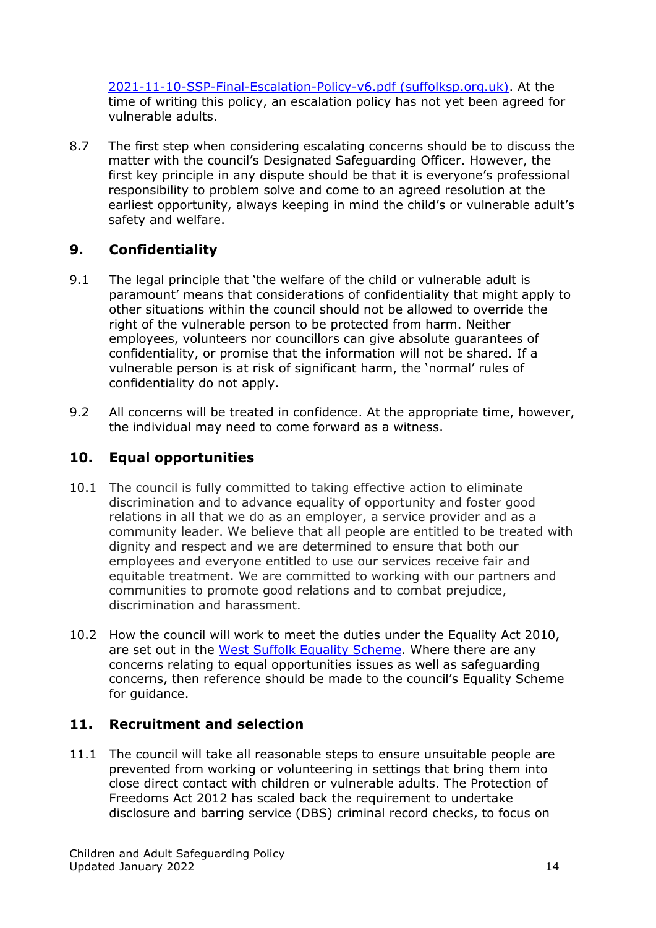[2021-11-10-SSP-Final-Escalation-Policy-v6.pdf \(suffolksp.org.uk\).](https://suffolksp.org.uk/assets/Working-with-Children-Adults/Policies-CYP/Escalation-Policy/2021-11-10-SSP-Final-Escalation-Policy-v6.pdf) At the time of writing this policy, an escalation policy has not yet been agreed for vulnerable adults.

8.7 The first step when considering escalating concerns should be to discuss the matter with the council's Designated Safeguarding Officer. However, the first key principle in any dispute should be that it is everyone's professional responsibility to problem solve and come to an agreed resolution at the earliest opportunity, always keeping in mind the child's or vulnerable adult's safety and welfare.

# <span id="page-13-0"></span>**9. Confidentiality**

- 9.1 The legal principle that 'the welfare of the child or vulnerable adult is paramount' means that considerations of confidentiality that might apply to other situations within the council should not be allowed to override the right of the vulnerable person to be protected from harm. Neither employees, volunteers nor councillors can give absolute guarantees of confidentiality, or promise that the information will not be shared. If a vulnerable person is at risk of significant harm, the 'normal' rules of confidentiality do not apply.
- 9.2 All concerns will be treated in confidence. At the appropriate time, however, the individual may need to come forward as a witness.

# <span id="page-13-1"></span>**10. Equal opportunities**

- 10.1 The council is fully committed to taking effective action to eliminate discrimination and to advance equality of opportunity and foster good relations in all that we do as an employer, a service provider and as a community leader. We believe that all people are entitled to be treated with dignity and respect and we are determined to ensure that both our employees and everyone entitled to use our services receive fair and equitable treatment. We are committed to working with our partners and communities to promote good relations and to combat prejudice, discrimination and harassment.
- 10.2 How the council will work to meet the duties under the Equality Act 2010, are set out in the [West Suffolk Equality Scheme.](https://www.westsuffolk.gov.uk/Council/Policies_Strategies_and_Plans/upload/West-Suffolk-Council-Equality-Scheme-FINAL.pdf) Where there are any concerns relating to equal opportunities issues as well as safeguarding concerns, then reference should be made to the council's Equality Scheme for guidance.

# <span id="page-13-2"></span>**11. Recruitment and selection**

11.1 The council will take all reasonable steps to ensure unsuitable people are prevented from working or volunteering in settings that bring them into close direct contact with children or vulnerable adults. The Protection of Freedoms Act 2012 has scaled back the requirement to undertake disclosure and barring service (DBS) criminal record checks, to focus on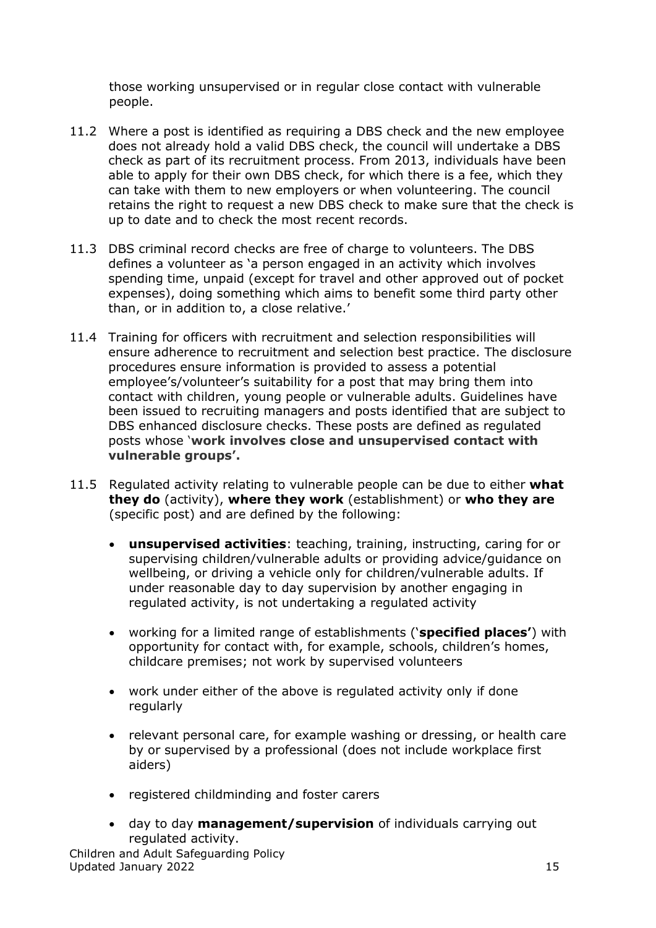those working unsupervised or in regular close contact with vulnerable people.

- 11.2 Where a post is identified as requiring a DBS check and the new employee does not already hold a valid DBS check, the council will undertake a DBS check as part of its recruitment process. From 2013, individuals have been able to apply for their own DBS check, for which there is a fee, which they can take with them to new employers or when volunteering. The council retains the right to request a new DBS check to make sure that the check is up to date and to check the most recent records.
- 11.3 DBS criminal record checks are free of charge to volunteers. The DBS defines a volunteer as 'a person engaged in an activity which involves spending time, unpaid (except for travel and other approved out of pocket expenses), doing something which aims to benefit some third party other than, or in addition to, a close relative.'
- 11.4 Training for officers with recruitment and selection responsibilities will ensure adherence to recruitment and selection best practice. The disclosure procedures ensure information is provided to assess a potential employee's/volunteer's suitability for a post that may bring them into contact with children, young people or vulnerable adults. Guidelines have been issued to recruiting managers and posts identified that are subject to DBS enhanced disclosure checks. These posts are defined as regulated posts whose '**work involves close and unsupervised contact with vulnerable groups'.**
- 11.5 Regulated activity relating to vulnerable people can be due to either **what they do** (activity), **where they work** (establishment) or **who they are**  (specific post) and are defined by the following:
	- **unsupervised activities**: teaching, training, instructing, caring for or supervising children/vulnerable adults or providing advice/guidance on wellbeing, or driving a vehicle only for children/vulnerable adults. If under reasonable day to day supervision by another engaging in regulated activity, is not undertaking a regulated activity
	- working for a limited range of establishments ('**specified places'**) with opportunity for contact with, for example, schools, children's homes, childcare premises; not work by supervised volunteers
	- work under either of the above is regulated activity only if done regularly
	- relevant personal care, for example washing or dressing, or health care by or supervised by a professional (does not include workplace first aiders)
	- registered childminding and foster carers
	- day to day **management/supervision** of individuals carrying out regulated activity.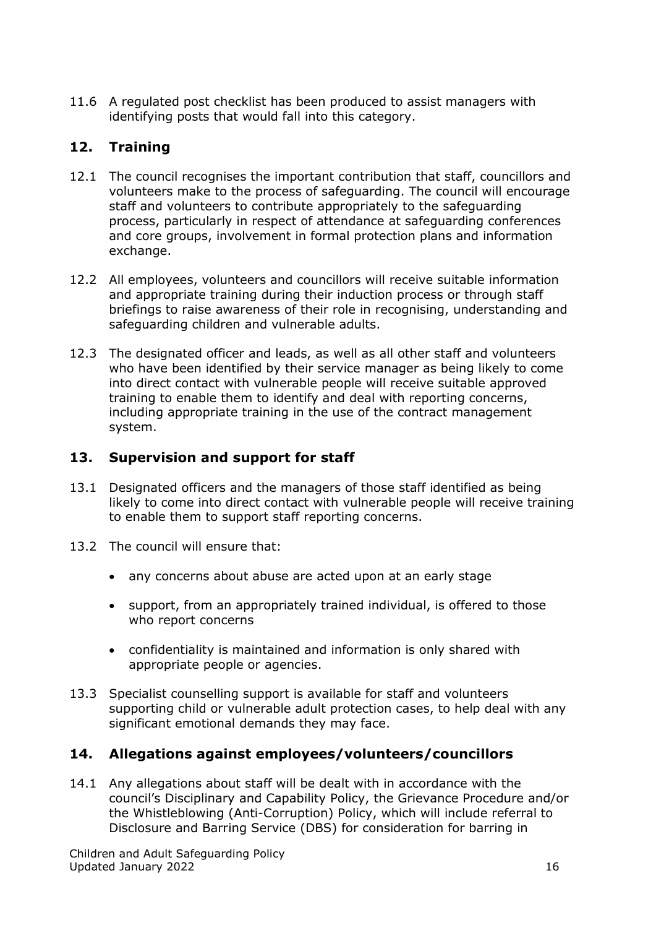11.6 A regulated post checklist has been produced to assist managers with identifying posts that would fall into this category.

# <span id="page-15-0"></span>**12. Training**

- 12.1 The council recognises the important contribution that staff, councillors and volunteers make to the process of safeguarding. The council will encourage staff and volunteers to contribute appropriately to the safeguarding process, particularly in respect of attendance at safeguarding conferences and core groups, involvement in formal protection plans and information exchange.
- 12.2 All employees, volunteers and councillors will receive suitable information and appropriate training during their induction process or through staff briefings to raise awareness of their role in recognising, understanding and safeguarding children and vulnerable adults.
- 12.3 The designated officer and leads, as well as all other staff and volunteers who have been identified by their service manager as being likely to come into direct contact with vulnerable people will receive suitable approved training to enable them to identify and deal with reporting concerns, including appropriate training in the use of the contract management system.

# **13. Supervision and support for staff**

- 13.1 Designated officers and the managers of those staff identified as being likely to come into direct contact with vulnerable people will receive training to enable them to support staff reporting concerns.
- 13.2 The council will ensure that:
	- any concerns about abuse are acted upon at an early stage
	- support, from an appropriately trained individual, is offered to those who report concerns
	- confidentiality is maintained and information is only shared with appropriate people or agencies.
- 13.3 Specialist counselling support is available for staff and volunteers supporting child or vulnerable adult protection cases, to help deal with any significant emotional demands they may face.

# <span id="page-15-1"></span>**14. Allegations against employees/volunteers/councillors**

14.1 Any allegations about staff will be dealt with in accordance with the council's Disciplinary and Capability Policy, the Grievance Procedure and/or the Whistleblowing (Anti-Corruption) Policy, which will include referral to Disclosure and Barring Service (DBS) for consideration for barring in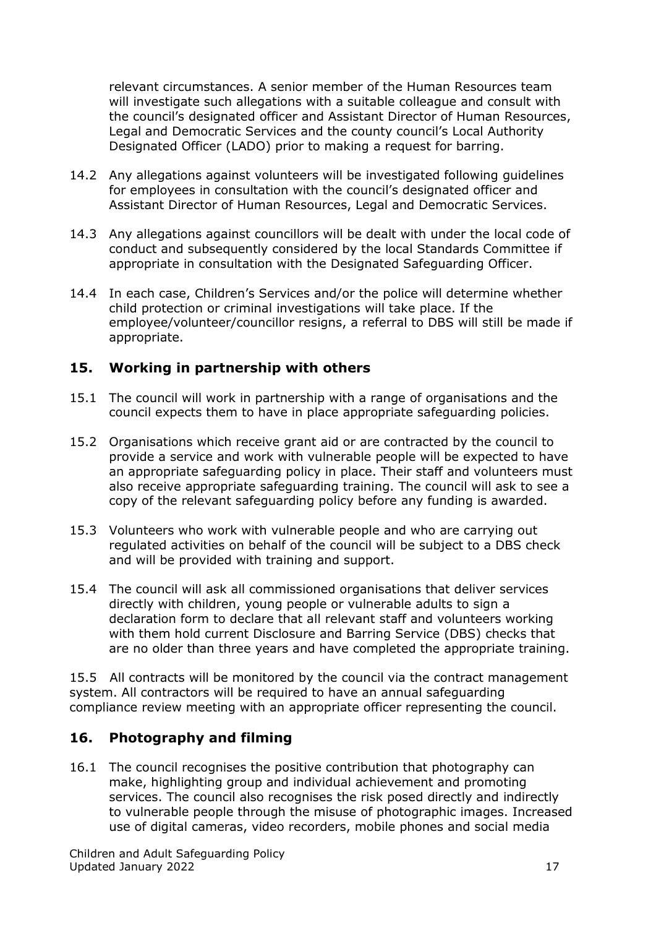relevant circumstances. A senior member of the Human Resources team will investigate such allegations with a suitable colleague and consult with the council's designated officer and Assistant Director of Human Resources, Legal and Democratic Services and the county council's Local Authority Designated Officer (LADO) prior to making a request for barring.

- 14.2 Any allegations against volunteers will be investigated following guidelines for employees in consultation with the council's designated officer and Assistant Director of Human Resources, Legal and Democratic Services.
- 14.3 Any allegations against councillors will be dealt with under the local code of conduct and subsequently considered by the local Standards Committee if appropriate in consultation with the Designated Safeguarding Officer.
- 14.4 In each case, Children's Services and/or the police will determine whether child protection or criminal investigations will take place. If the employee/volunteer/councillor resigns, a referral to DBS will still be made if appropriate.

#### <span id="page-16-0"></span>**15. Working in partnership with others**

- 15.1 The council will work in partnership with a range of organisations and the council expects them to have in place appropriate safeguarding policies.
- 15.2 Organisations which receive grant aid or are contracted by the council to provide a service and work with vulnerable people will be expected to have an appropriate safeguarding policy in place. Their staff and volunteers must also receive appropriate safeguarding training. The council will ask to see a copy of the relevant safeguarding policy before any funding is awarded.
- 15.3 Volunteers who work with vulnerable people and who are carrying out regulated activities on behalf of the council will be subject to a DBS check and will be provided with training and support.
- 15.4 The council will ask all commissioned organisations that deliver services directly with children, young people or vulnerable adults to sign a declaration form to declare that all relevant staff and volunteers working with them hold current Disclosure and Barring Service (DBS) checks that are no older than three years and have completed the appropriate training.

15.5 All contracts will be monitored by the council via the contract management system. All contractors will be required to have an annual safeguarding compliance review meeting with an appropriate officer representing the council.

# <span id="page-16-1"></span>**16. Photography and filming**

16.1 The council recognises the positive contribution that photography can make, highlighting group and individual achievement and promoting services. The council also recognises the risk posed directly and indirectly to vulnerable people through the misuse of photographic images. Increased use of digital cameras, video recorders, mobile phones and social media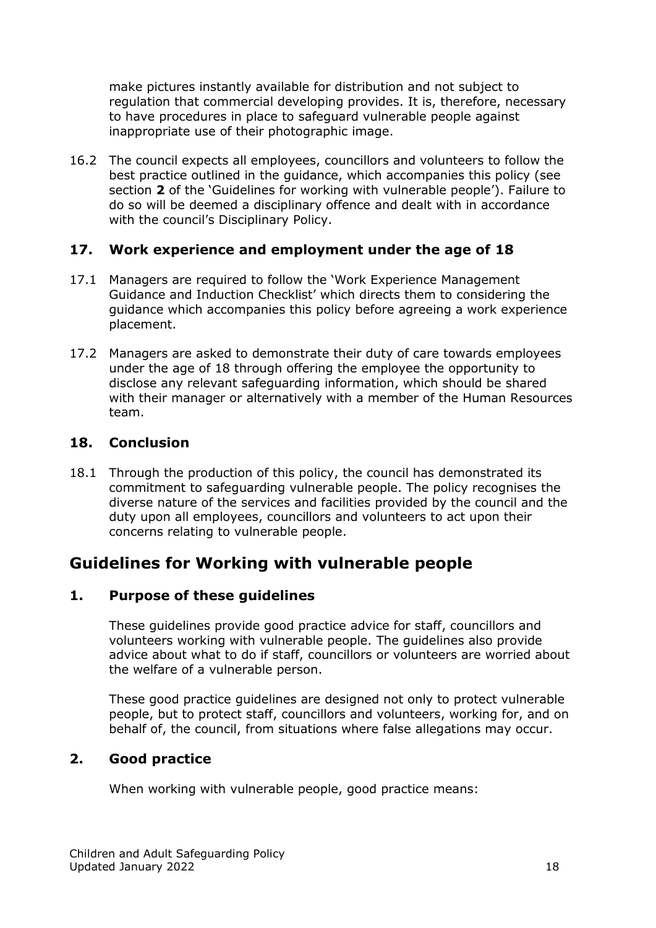make pictures instantly available for distribution and not subject to regulation that commercial developing provides. It is, therefore, necessary to have procedures in place to safeguard vulnerable people against inappropriate use of their photographic image.

16.2 The council expects all employees, councillors and volunteers to follow the best practice outlined in the guidance, which accompanies this policy (see section **2** of the 'Guidelines for working with vulnerable people'). Failure to do so will be deemed a disciplinary offence and dealt with in accordance with the council's Disciplinary Policy.

# <span id="page-17-0"></span>**17. Work experience and employment under the age of 18**

- 17.1 Managers are required to follow the 'Work Experience Management Guidance and Induction Checklist' which directs them to considering the guidance which accompanies this policy before agreeing a work experience placement.
- 17.2 Managers are asked to demonstrate their duty of care towards employees under the age of 18 through offering the employee the opportunity to disclose any relevant safeguarding information, which should be shared with their manager or alternatively with a member of the Human Resources team.

#### <span id="page-17-1"></span>**18. Conclusion**

18.1 Through the production of this policy, the council has demonstrated its commitment to safeguarding vulnerable people. The policy recognises the diverse nature of the services and facilities provided by the council and the duty upon all employees, councillors and volunteers to act upon their concerns relating to vulnerable people.

# <span id="page-17-2"></span>**Guidelines for Working with vulnerable people**

#### <span id="page-17-3"></span>**1. Purpose of these guidelines**

These guidelines provide good practice advice for staff, councillors and volunteers working with vulnerable people. The guidelines also provide advice about what to do if staff, councillors or volunteers are worried about the welfare of a vulnerable person.

These good practice guidelines are designed not only to protect vulnerable people, but to protect staff, councillors and volunteers, working for, and on behalf of, the council, from situations where false allegations may occur.

# <span id="page-17-4"></span>**2. Good practice**

When working with vulnerable people, good practice means: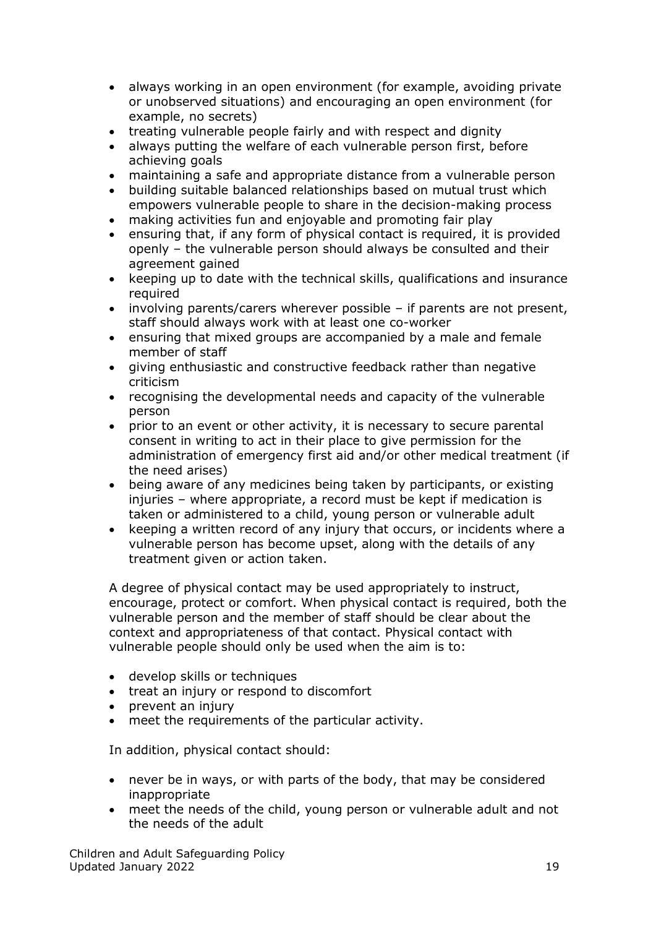- always working in an open environment (for example, avoiding private or unobserved situations) and encouraging an open environment (for example, no secrets)
- treating vulnerable people fairly and with respect and dignity
- always putting the welfare of each vulnerable person first, before achieving goals
- maintaining a safe and appropriate distance from a vulnerable person
- building suitable balanced relationships based on mutual trust which empowers vulnerable people to share in the decision-making process
- making activities fun and enjoyable and promoting fair play
- ensuring that, if any form of physical contact is required, it is provided openly – the vulnerable person should always be consulted and their agreement gained
- keeping up to date with the technical skills, qualifications and insurance required
- involving parents/carers wherever possible if parents are not present, staff should always work with at least one co-worker
- ensuring that mixed groups are accompanied by a male and female member of staff
- giving enthusiastic and constructive feedback rather than negative criticism
- recognising the developmental needs and capacity of the vulnerable person
- prior to an event or other activity, it is necessary to secure parental consent in writing to act in their place to give permission for the administration of emergency first aid and/or other medical treatment (if the need arises)
- being aware of any medicines being taken by participants, or existing injuries – where appropriate, a record must be kept if medication is taken or administered to a child, young person or vulnerable adult
- keeping a written record of any injury that occurs, or incidents where a vulnerable person has become upset, along with the details of any treatment given or action taken.

A degree of physical contact may be used appropriately to instruct, encourage, protect or comfort. When physical contact is required, both the vulnerable person and the member of staff should be clear about the context and appropriateness of that contact. Physical contact with vulnerable people should only be used when the aim is to:

- develop skills or techniques
- treat an injury or respond to discomfort
- prevent an injury
- meet the requirements of the particular activity.

In addition, physical contact should:

- never be in ways, or with parts of the body, that may be considered inappropriate
- meet the needs of the child, young person or vulnerable adult and not the needs of the adult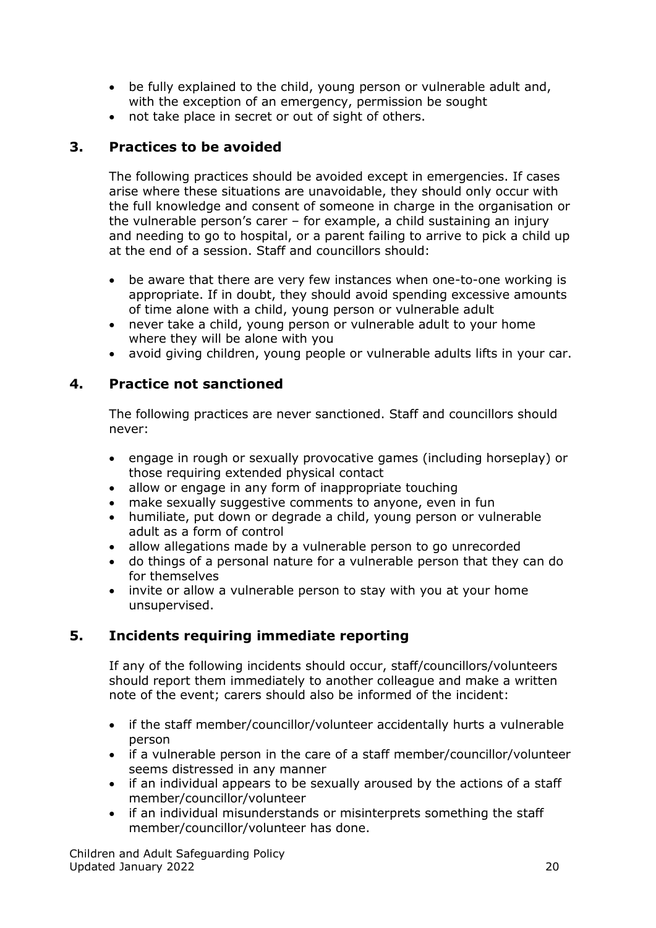- be fully explained to the child, young person or vulnerable adult and, with the exception of an emergency, permission be sought
- not take place in secret or out of sight of others.

### <span id="page-19-0"></span>**3. Practices to be avoided**

The following practices should be avoided except in emergencies. If cases arise where these situations are unavoidable, they should only occur with the full knowledge and consent of someone in charge in the organisation or the vulnerable person's carer – for example, a child sustaining an injury and needing to go to hospital, or a parent failing to arrive to pick a child up at the end of a session. Staff and councillors should:

- be aware that there are very few instances when one-to-one working is appropriate. If in doubt, they should avoid spending excessive amounts of time alone with a child, young person or vulnerable adult
- never take a child, young person or vulnerable adult to your home where they will be alone with you
- avoid giving children, young people or vulnerable adults lifts in your car.

#### <span id="page-19-1"></span>**4. Practice not sanctioned**

The following practices are never sanctioned. Staff and councillors should never:

- engage in rough or sexually provocative games (including horseplay) or those requiring extended physical contact
- allow or engage in any form of inappropriate touching
- make sexually suggestive comments to anyone, even in fun
- humiliate, put down or degrade a child, young person or vulnerable adult as a form of control
- allow allegations made by a vulnerable person to go unrecorded
- do things of a personal nature for a vulnerable person that they can do for themselves
- invite or allow a vulnerable person to stay with you at your home unsupervised.

# <span id="page-19-2"></span>**5. Incidents requiring immediate reporting**

If any of the following incidents should occur, staff/councillors/volunteers should report them immediately to another colleague and make a written note of the event; carers should also be informed of the incident:

- if the staff member/councillor/volunteer accidentally hurts a vulnerable person
- if a vulnerable person in the care of a staff member/councillor/volunteer seems distressed in any manner
- if an individual appears to be sexually aroused by the actions of a staff member/councillor/volunteer
- if an individual misunderstands or misinterprets something the staff member/councillor/volunteer has done.

Children and Adult Safeguarding Policy Updated January 2022 **20** 20 and 20 and 20 and 20 and 20 and 20 and 20 and 20 and 20 and 20 and 20 and 20 and 20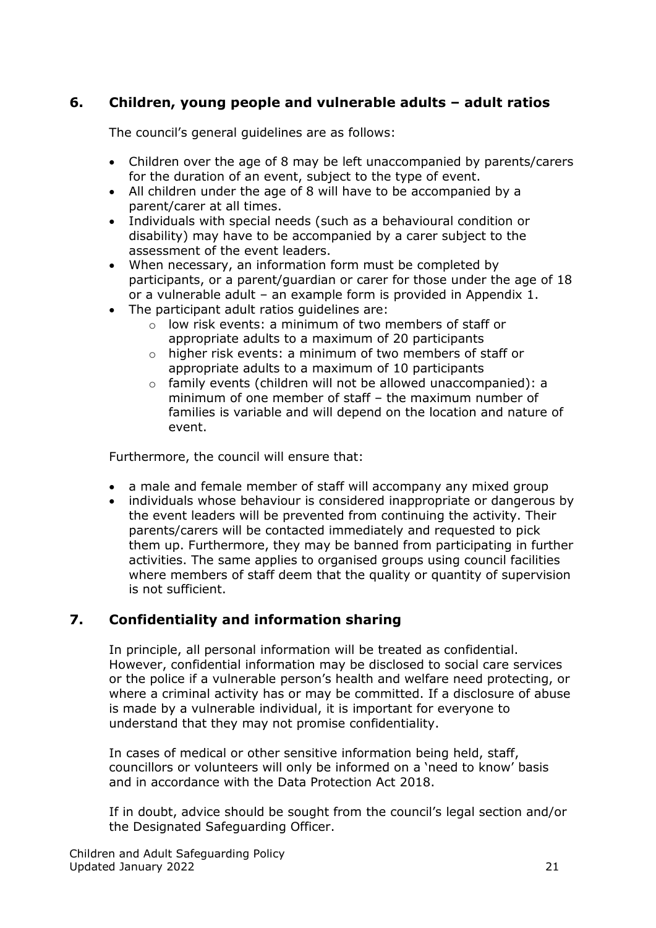# <span id="page-20-0"></span>**6. Children, young people and vulnerable adults – adult ratios**

The council's general guidelines are as follows:

- Children over the age of 8 may be left unaccompanied by parents/carers for the duration of an event, subject to the type of event.
- All children under the age of 8 will have to be accompanied by a parent/carer at all times.
- Individuals with special needs (such as a behavioural condition or disability) may have to be accompanied by a carer subject to the assessment of the event leaders.
- When necessary, an information form must be completed by participants, or a parent/guardian or carer for those under the age of 18 or a vulnerable adult – an example form is provided in Appendix 1.
- The participant adult ratios guidelines are:
	- o low risk events: a minimum of two members of staff or appropriate adults to a maximum of 20 participants
	- o higher risk events: a minimum of two members of staff or appropriate adults to a maximum of 10 participants
	- $\circ$  family events (children will not be allowed unaccompanied): a minimum of one member of staff – the maximum number of families is variable and will depend on the location and nature of event.

Furthermore, the council will ensure that:

- a male and female member of staff will accompany any mixed group
- individuals whose behaviour is considered inappropriate or dangerous by the event leaders will be prevented from continuing the activity. Their parents/carers will be contacted immediately and requested to pick them up. Furthermore, they may be banned from participating in further activities. The same applies to organised groups using council facilities where members of staff deem that the quality or quantity of supervision is not sufficient.

# <span id="page-20-1"></span>**7. Confidentiality and information sharing**

In principle, all personal information will be treated as confidential. However, confidential information may be disclosed to social care services or the police if a vulnerable person's health and welfare need protecting, or where a criminal activity has or may be committed. If a disclosure of abuse is made by a vulnerable individual, it is important for everyone to understand that they may not promise confidentiality.

In cases of medical or other sensitive information being held, staff, councillors or volunteers will only be informed on a 'need to know' basis and in accordance with the Data Protection Act 2018.

If in doubt, advice should be sought from the council's legal section and/or the Designated Safeguarding Officer.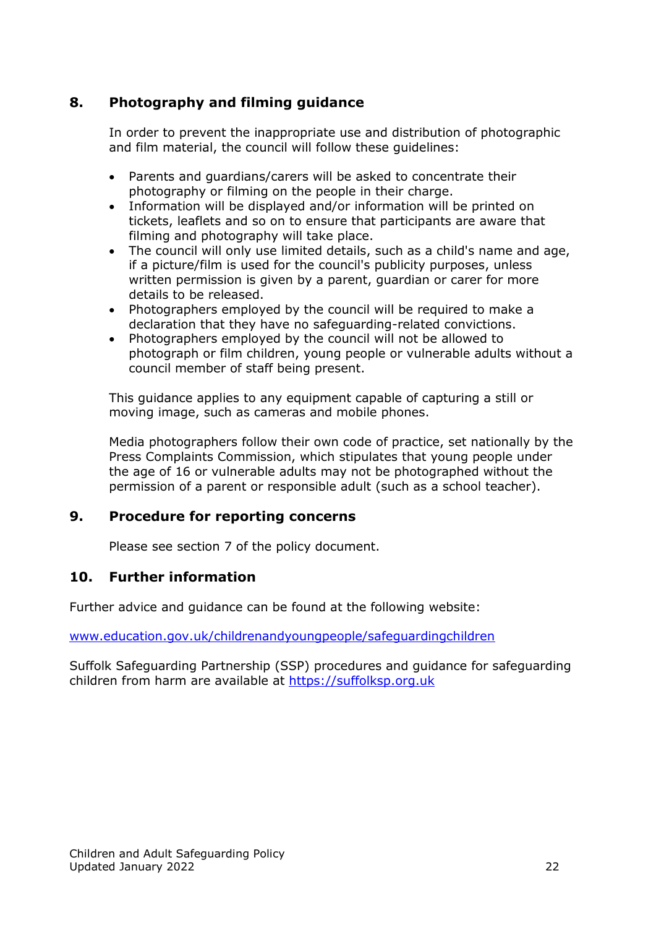# <span id="page-21-0"></span>**8. Photography and filming guidance**

In order to prevent the inappropriate use and distribution of photographic and film material, the council will follow these guidelines:

- Parents and guardians/carers will be asked to concentrate their photography or filming on the people in their charge.
- Information will be displayed and/or information will be printed on tickets, leaflets and so on to ensure that participants are aware that filming and photography will take place.
- The council will only use limited details, such as a child's name and age, if a picture/film is used for the council's publicity purposes, unless written permission is given by a parent, guardian or carer for more details to be released.
- Photographers employed by the council will be required to make a declaration that they have no safeguarding-related convictions.
- Photographers employed by the council will not be allowed to photograph or film children, young people or vulnerable adults without a council member of staff being present.

This guidance applies to any equipment capable of capturing a still or moving image, such as cameras and mobile phones.

Media photographers follow their own code of practice, set nationally by the Press Complaints Commission, which stipulates that young people under the age of 16 or vulnerable adults may not be photographed without the permission of a parent or responsible adult (such as a school teacher).

# <span id="page-21-1"></span>**9. Procedure for reporting concerns**

Please see section 7 of the policy document.

#### <span id="page-21-2"></span>**10. Further information**

Further advice and guidance can be found at the following website:

[www.education.gov.uk/childrenandyoungpeople/safeguardingchildren](http://www.education.gov.uk/childrenandyoungpeople/safeguardingchildren)

Suffolk Safeguarding Partnership (SSP) procedures and guidance for safeguarding children from harm are available at [https://suffolksp.org.uk](https://eur01.safelinks.protection.outlook.com/?url=https%3A%2F%2Fsuffolksp.org.uk%2F&data=04%7C01%7Cwill.wright%40westsuffolk.gov.uk%7C1504d40f00f04352281108d9b313f0d7%7C44abcddb9c114bdfa5b399418b946f11%7C0%7C0%7C637737720493652681%7CUnknown%7CTWFpbGZsb3d8eyJWIjoiMC4wLjAwMDAiLCJQIjoiV2luMzIiLCJBTiI6Ik1haWwiLCJXVCI6Mn0%3D%7C3000&sdata=TShtEF1FI0TcXspWN64UyrsRw2r%2BpBuqXxkmX1oCREY%3D&reserved=0)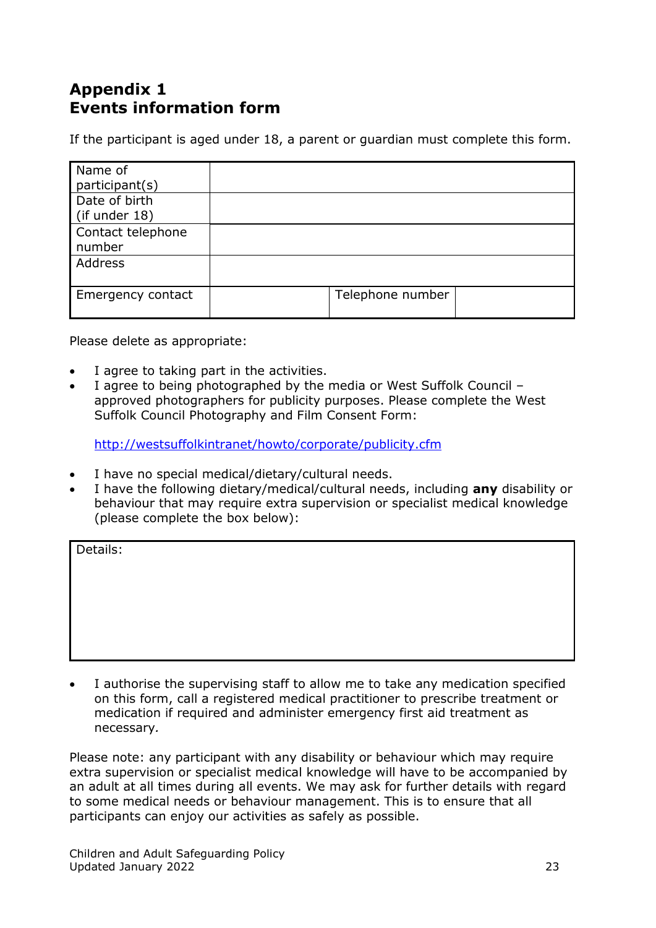# <span id="page-22-1"></span><span id="page-22-0"></span>**Appendix 1 Events information form**

If the participant is aged under 18, a parent or guardian must complete this form.

| Name of<br>participant(s)      |                  |  |
|--------------------------------|------------------|--|
| Date of birth<br>(if under 18) |                  |  |
| Contact telephone<br>number    |                  |  |
| Address                        |                  |  |
| Emergency contact              | Telephone number |  |

Please delete as appropriate:

- I agree to taking part in the activities.
- I agree to being photographed by the media or West Suffolk Council approved photographers for publicity purposes. Please complete the West Suffolk Council Photography and Film Consent Form:

<http://westsuffolkintranet/howto/corporate/publicity.cfm>

- I have no special medical/dietary/cultural needs.
- I have the following dietary/medical/cultural needs, including **any** disability or behaviour that may require extra supervision or specialist medical knowledge (please complete the box below):

Details:

 I authorise the supervising staff to allow me to take any medication specified on this form, call a registered medical practitioner to prescribe treatment or medication if required and administer emergency first aid treatment as necessary*.*

Please note: any participant with any disability or behaviour which may require extra supervision or specialist medical knowledge will have to be accompanied by an adult at all times during all events. We may ask for further details with regard to some medical needs or behaviour management. This is to ensure that all participants can enjoy our activities as safely as possible.